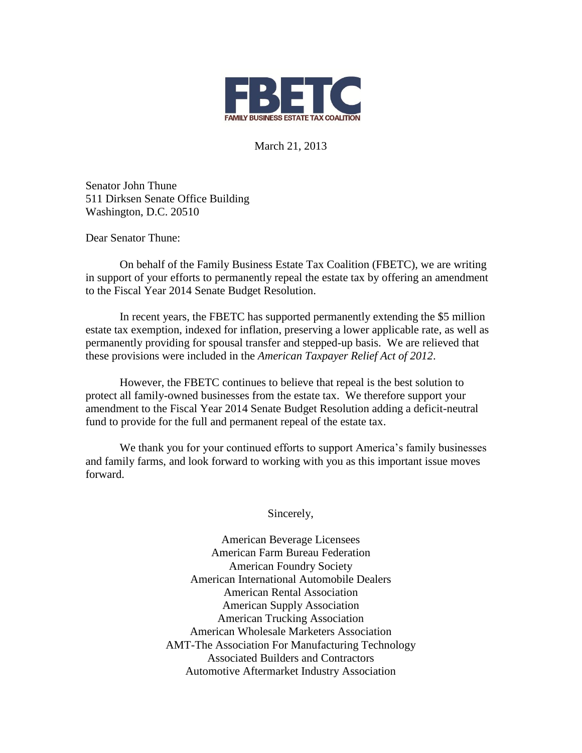

March 21, 2013

Senator John Thune 511 Dirksen Senate Office Building Washington, D.C. 20510

Dear Senator Thune:

 On behalf of the Family Business Estate Tax Coalition (FBETC), we are writing in support of your efforts to permanently repeal the estate tax by offering an amendment to the Fiscal Year 2014 Senate Budget Resolution.

In recent years, the FBETC has supported permanently extending the \$5 million estate tax exemption, indexed for inflation, preserving a lower applicable rate, as well as permanently providing for spousal transfer and stepped-up basis. We are relieved that these provisions were included in the *American Taxpayer Relief Act of 2012*.

However, the FBETC continues to believe that repeal is the best solution to protect all family-owned businesses from the estate tax. We therefore support your amendment to the Fiscal Year 2014 Senate Budget Resolution adding a deficit-neutral fund to provide for the full and permanent repeal of the estate tax.

 We thank you for your continued efforts to support America's family businesses and family farms, and look forward to working with you as this important issue moves forward.

Sincerely,

American Beverage Licensees American Farm Bureau Federation American Foundry Society American International Automobile Dealers American Rental Association American Supply Association American Trucking Association American Wholesale Marketers Association AMT-The Association For Manufacturing Technology Associated Builders and Contractors Automotive Aftermarket Industry Association